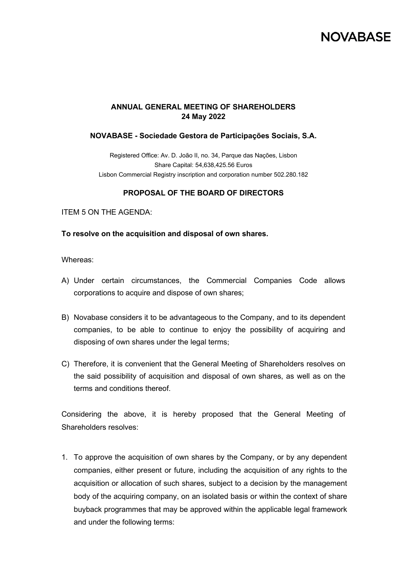# **NOVARASE**

## **ANNUAL GENERAL MEETING OF SHAREHOLDERS 24 May 2022**

### **NOVABASE - Sociedade Gestora de Participações Sociais, S.A.**

Registered Office: Av. D. João II, no. 34, Parque das Nações, Lisbon Share Capital: 54,638,425.56 Euros Lisbon Commercial Registry inscription and corporation number 502.280.182

### **PROPOSAL OF THE BOARD OF DIRECTORS**

ITEM 5 ON THE AGENDA:

#### **To resolve on the acquisition and disposal of own shares.**

Whereas:

- A) Under certain circumstances, the Commercial Companies Code allows corporations to acquire and dispose of own shares;
- B) Novabase considers it to be advantageous to the Company, and to its dependent companies, to be able to continue to enjoy the possibility of acquiring and disposing of own shares under the legal terms;
- C) Therefore, it is convenient that the General Meeting of Shareholders resolves on the said possibility of acquisition and disposal of own shares, as well as on the terms and conditions thereof.

Considering the above, it is hereby proposed that the General Meeting of Shareholders resolves:

1. To approve the acquisition of own shares by the Company, or by any dependent companies, either present or future, including the acquisition of any rights to the acquisition or allocation of such shares, subject to a decision by the management body of the acquiring company, on an isolated basis or within the context of share buyback programmes that may be approved within the applicable legal framework and under the following terms: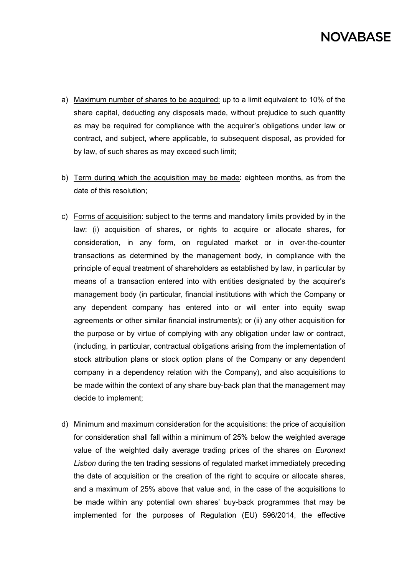# **NOVARASE**

- a) Maximum number of shares to be acquired: up to a limit equivalent to 10% of the share capital, deducting any disposals made, without prejudice to such quantity as may be required for compliance with the acquirer's obligations under law or contract, and subject, where applicable, to subsequent disposal, as provided for by law, of such shares as may exceed such limit;
- b) Term during which the acquisition may be made: eighteen months, as from the date of this resolution;
- c) Forms of acquisition: subject to the terms and mandatory limits provided by in the law: (i) acquisition of shares, or rights to acquire or allocate shares, for consideration, in any form, on regulated market or in over-the-counter transactions as determined by the management body, in compliance with the principle of equal treatment of shareholders as established by law, in particular by means of a transaction entered into with entities designated by the acquirer's management body (in particular, financial institutions with which the Company or any dependent company has entered into or will enter into equity swap agreements or other similar financial instruments); or (ii) any other acquisition for the purpose or by virtue of complying with any obligation under law or contract, (including, in particular, contractual obligations arising from the implementation of stock attribution plans or stock option plans of the Company or any dependent company in a dependency relation with the Company), and also acquisitions to be made within the context of any share buy-back plan that the management may decide to implement;
- d) Minimum and maximum consideration for the acquisitions: the price of acquisition for consideration shall fall within a minimum of 25% below the weighted average value of the weighted daily average trading prices of the shares on *Euronext Lisbon* during the ten trading sessions of regulated market immediately preceding the date of acquisition or the creation of the right to acquire or allocate shares, and a maximum of 25% above that value and, in the case of the acquisitions to be made within any potential own shares' buy-back programmes that may be implemented for the purposes of Regulation (EU) 596/2014, the effective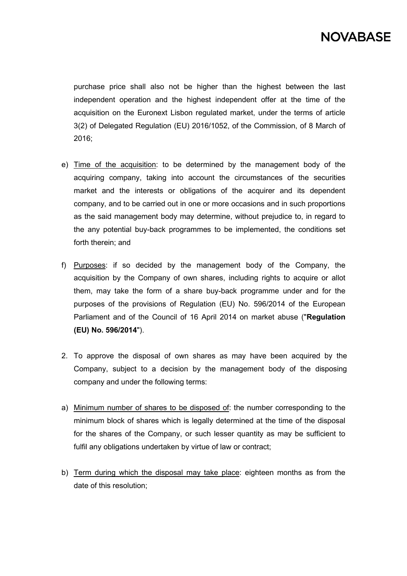purchase price shall also not be higher than the highest between the last independent operation and the highest independent offer at the time of the acquisition on the Euronext Lisbon regulated market, under the terms of article 3(2) of Delegated Regulation (EU) 2016/1052, of the Commission, of 8 March of 2016;

- e) Time of the acquisition: to be determined by the management body of the acquiring company, taking into account the circumstances of the securities market and the interests or obligations of the acquirer and its dependent company, and to be carried out in one or more occasions and in such proportions as the said management body may determine, without prejudice to, in regard to the any potential buy-back programmes to be implemented, the conditions set forth therein; and
- f) Purposes: if so decided by the management body of the Company, the acquisition by the Company of own shares, including rights to acquire or allot them, may take the form of a share buy-back programme under and for the purposes of the provisions of Regulation (EU) No. 596/2014 of the European Parliament and of the Council of 16 April 2014 on market abuse ("**Regulation (EU) No. 596/2014**").
- 2. To approve the disposal of own shares as may have been acquired by the Company, subject to a decision by the management body of the disposing company and under the following terms:
- a) Minimum number of shares to be disposed of: the number corresponding to the minimum block of shares which is legally determined at the time of the disposal for the shares of the Company, or such lesser quantity as may be sufficient to fulfil any obligations undertaken by virtue of law or contract;
- b) Term during which the disposal may take place: eighteen months as from the date of this resolution;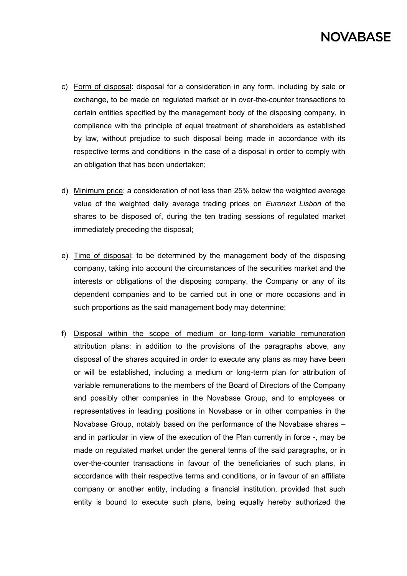# **NOVARASE**

- c) Form of disposal: disposal for a consideration in any form, including by sale or exchange, to be made on regulated market or in over-the-counter transactions to certain entities specified by the management body of the disposing company, in compliance with the principle of equal treatment of shareholders as established by law, without prejudice to such disposal being made in accordance with its respective terms and conditions in the case of a disposal in order to comply with an obligation that has been undertaken;
- d) Minimum price: a consideration of not less than 25% below the weighted average value of the weighted daily average trading prices on *Euronext Lisbon* of the shares to be disposed of, during the ten trading sessions of regulated market immediately preceding the disposal;
- e) Time of disposal: to be determined by the management body of the disposing company, taking into account the circumstances of the securities market and the interests or obligations of the disposing company, the Company or any of its dependent companies and to be carried out in one or more occasions and in such proportions as the said management body may determine;
- f) Disposal within the scope of medium or long-term variable remuneration attribution plans: in addition to the provisions of the paragraphs above, any disposal of the shares acquired in order to execute any plans as may have been or will be established, including a medium or long-term plan for attribution of variable remunerations to the members of the Board of Directors of the Company and possibly other companies in the Novabase Group, and to employees or representatives in leading positions in Novabase or in other companies in the Novabase Group, notably based on the performance of the Novabase shares – and in particular in view of the execution of the Plan currently in force -, may be made on regulated market under the general terms of the said paragraphs, or in over-the-counter transactions in favour of the beneficiaries of such plans, in accordance with their respective terms and conditions, or in favour of an affiliate company or another entity, including a financial institution, provided that such entity is bound to execute such plans, being equally hereby authorized the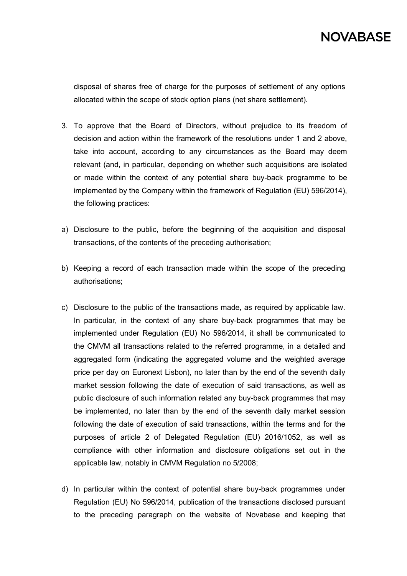

disposal of shares free of charge for the purposes of settlement of any options allocated within the scope of stock option plans (net share settlement)*.*

- 3. To approve that the Board of Directors, without prejudice to its freedom of decision and action within the framework of the resolutions under 1 and 2 above, take into account, according to any circumstances as the Board may deem relevant (and, in particular, depending on whether such acquisitions are isolated or made within the context of any potential share buy-back programme to be implemented by the Company within the framework of Regulation (EU) 596/2014), the following practices:
- a) Disclosure to the public, before the beginning of the acquisition and disposal transactions, of the contents of the preceding authorisation;
- b) Keeping a record of each transaction made within the scope of the preceding authorisations;
- c) Disclosure to the public of the transactions made, as required by applicable law. In particular, in the context of any share buy-back programmes that may be implemented under Regulation (EU) No 596/2014, it shall be communicated to the CMVM all transactions related to the referred programme, in a detailed and aggregated form (indicating the aggregated volume and the weighted average price per day on Euronext Lisbon), no later than by the end of the seventh daily market session following the date of execution of said transactions, as well as public disclosure of such information related any buy-back programmes that may be implemented, no later than by the end of the seventh daily market session following the date of execution of said transactions, within the terms and for the purposes of article 2 of Delegated Regulation (EU) 2016/1052, as well as compliance with other information and disclosure obligations set out in the applicable law, notably in CMVM Regulation no 5/2008;
- d) In particular within the context of potential share buy-back programmes under Regulation (EU) No 596/2014, publication of the transactions disclosed pursuant to the preceding paragraph on the website of Novabase and keeping that